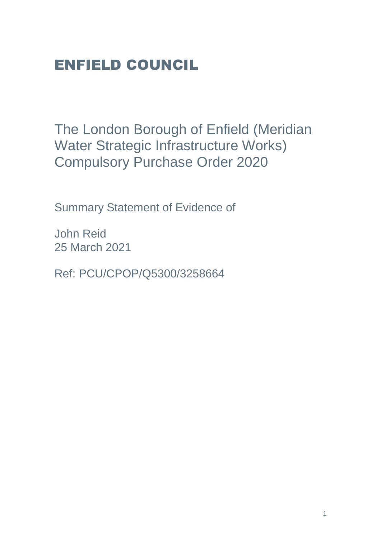# ENFIELD COUNCIL

The London Borough of Enfield (Meridian Water Strategic Infrastructure Works) Compulsory Purchase Order 2020

Summary Statement of Evidence of

John Reid 25 March 2021

Ref: PCU/CPOP/Q5300/3258664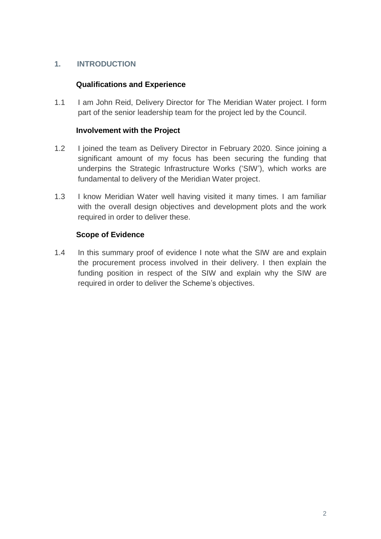# **1. INTRODUCTION**

# **Qualifications and Experience**

1.1 I am John Reid, Delivery Director for The Meridian Water project. I form part of the senior leadership team for the project led by the Council.

### **Involvement with the Project**

- 1.2 I joined the team as Delivery Director in February 2020. Since joining a significant amount of my focus has been securing the funding that underpins the Strategic Infrastructure Works ('SIW'), which works are fundamental to delivery of the Meridian Water project.
- 1.3 I know Meridian Water well having visited it many times. I am familiar with the overall design objectives and development plots and the work required in order to deliver these.

# **Scope of Evidence**

1.4 In this summary proof of evidence I note what the SIW are and explain the procurement process involved in their delivery. I then explain the funding position in respect of the SIW and explain why the SIW are required in order to deliver the Scheme's objectives.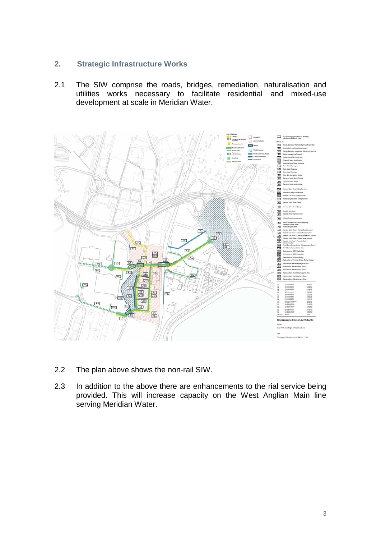### **2. Strategic Infrastructure Works**

2.1 The SIW comprise the roads, bridges, remediation, naturalisation and utilities works necessary to facilitate residential and mixed-use development at scale in Meridian Water.



- 2.2 The plan above shows the non-rail SIW.
- 2.3 In addition to the above there are enhancements to the rial service being provided. This will increase capacity on the West Anglian Main line serving Meridian Water.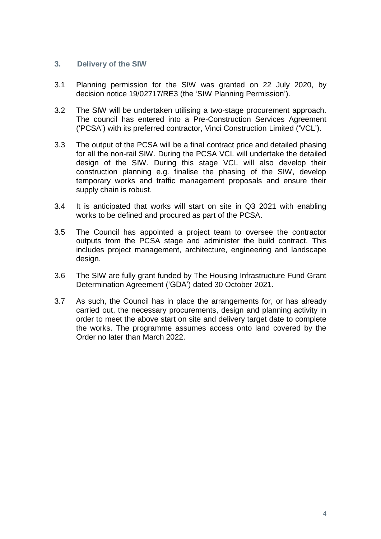#### **3. Delivery of the SIW**

- 3.1 Planning permission for the SIW was granted on 22 July 2020, by decision notice 19/02717/RE3 (the 'SIW Planning Permission').
- 3.2 The SIW will be undertaken utilising a two-stage procurement approach. The council has entered into a Pre-Construction Services Agreement ('PCSA') with its preferred contractor, Vinci Construction Limited ('VCL').
- 3.3 The output of the PCSA will be a final contract price and detailed phasing for all the non-rail SIW. During the PCSA VCL will undertake the detailed design of the SIW. During this stage VCL will also develop their construction planning e.g. finalise the phasing of the SIW, develop temporary works and traffic management proposals and ensure their supply chain is robust.
- 3.4 It is anticipated that works will start on site in Q3 2021 with enabling works to be defined and procured as part of the PCSA.
- 3.5 The Council has appointed a project team to oversee the contractor outputs from the PCSA stage and administer the build contract. This includes project management, architecture, engineering and landscape design.
- 3.6 The SIW are fully grant funded by The Housing Infrastructure Fund Grant Determination Agreement ('GDA') dated 30 October 2021.
- 3.7 As such, the Council has in place the arrangements for, or has already carried out, the necessary procurements, design and planning activity in order to meet the above start on site and delivery target date to complete the works. The programme assumes access onto land covered by the Order no later than March 2022.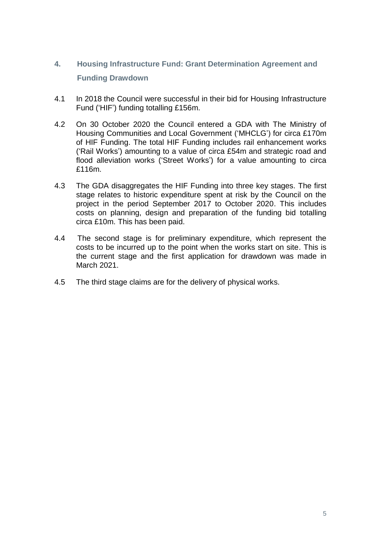# **4. Housing Infrastructure Fund: Grant Determination Agreement and Funding Drawdown**

- 4.1 In 2018 the Council were successful in their bid for Housing Infrastructure Fund ('HIF') funding totalling £156m.
- 4.2 On 30 October 2020 the Council entered a GDA with The Ministry of Housing Communities and Local Government ('MHCLG') for circa £170m of HIF Funding. The total HIF Funding includes rail enhancement works ('Rail Works') amounting to a value of circa £54m and strategic road and flood alleviation works ('Street Works') for a value amounting to circa £116m.
- 4.3 The GDA disaggregates the HIF Funding into three key stages. The first stage relates to historic expenditure spent at risk by the Council on the project in the period September 2017 to October 2020. This includes costs on planning, design and preparation of the funding bid totalling circa £10m. This has been paid.
- 4.4 The second stage is for preliminary expenditure, which represent the costs to be incurred up to the point when the works start on site. This is the current stage and the first application for drawdown was made in March 2021.
- 4.5 The third stage claims are for the delivery of physical works.